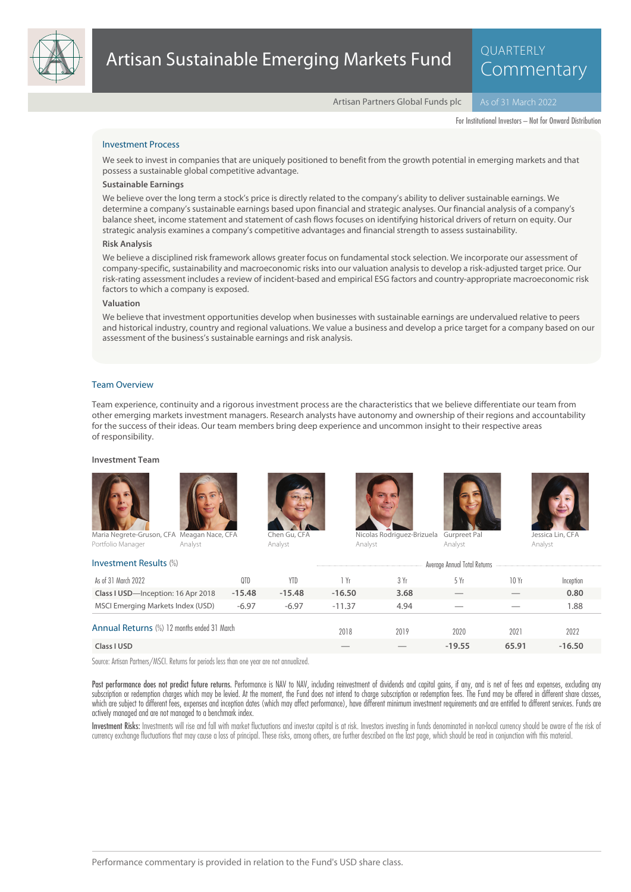

# Artisan Sustainable Emerging Markets Fund

Commentary

Artisan Partners Global Funds plc

For Institutional Investors – Not for Onward Distribution

QUARTERLY

# Investment Process

We seek to invest in companies that are uniquely positioned to benefit from the growth potential in emerging markets and that possess a sustainable global competitive advantage.

## **Sustainable Earnings**

We believe over the long term a stock's price is directly related to the company's ability to deliver sustainable earnings. We determine a company's sustainable earnings based upon financial and strategic analyses. Our financial analysis of a company's balance sheet, income statement and statement of cash flows focuses on identifying historical drivers of return on equity. Our strategic analysis examines a company's competitive advantages and financial strength to assess sustainability.

## **Risk Analysis**

We believe a disciplined risk framework allows greater focus on fundamental stock selection. We incorporate our assessment of company-specific, sustainability and macroeconomic risks into our valuation analysis to develop a risk-adjusted target price. Our risk-rating assessment includes a review of incident-based and empirical ESG factors and country-appropriate macroeconomic risk factors to which a company is exposed.

#### **Valuation**

We believe that investment opportunities develop when businesses with sustainable earnings are undervalued relative to peers and historical industry, country and regional valuations. We value a business and develop a price target for a company based on our assessment of the business's sustainable earnings and risk analysis.

#### Team Overview

Team experience, continuity and a rigorous investment process are the characteristics that we believe differentiate our team from other emerging markets investment managers. Research analysts have autonomy and ownership of their regions and accountability for the success of their ideas. Our team members bring deep experience and uncommon insight to their respective areas of responsibility.

#### **Investment Team**





Maria Negrete-Gruson, CFA Meagan Nace, CFA Portfolio Manager

Analyst



Analyst



Analyst



Analyst



Jessica Lin, CFA Analyst

| <b>Investment Results (%)</b>                      | Average Annual Total Returns <b>contains and the Average Annual Total Returns</b> |            |          |      |          |       |           |
|----------------------------------------------------|-----------------------------------------------------------------------------------|------------|----------|------|----------|-------|-----------|
| As of 31 March 2022                                | 0TD                                                                               | <b>YTD</b> | l Yr     | 3 Yr | 5 Yr     | 10Yr  | Inception |
| Class I USD-Inception: 16 Apr 2018                 | $-15.48$                                                                          | $-15.48$   | $-16.50$ | 3.68 |          |       | 0.80      |
| MSCI Emerging Markets Index (USD)                  | $-6.97$                                                                           | $-6.97$    | $-11.37$ | 4.94 |          |       | 1.88      |
| <b>Annual Returns (%) 12 months ended 31 March</b> |                                                                                   |            | 2018     | 2019 | 2020     | 2021  | 2022      |
| Class I USD                                        |                                                                                   |            |          |      | $-19.55$ | 65.91 | $-16.50$  |

Source: Artisan Partners/MSCI. Returns for periods less than one year are not annualized.

Past performance does not predict future returns. Performance is NAV to NAV, including reinvestment of dividends and capital gains, if any, and is net of fees and expenses, excluding any subscription or redemption charges which may be levied. At the moment, the Fund does not intend to charge subscription or redemption fees. The Fund may be offered in different share classes, which are subject to different fees, expenses and inception dates (which may affect performance), have different minimum investment requirements and are entitled to different services. Funds are actively managed and are not managed to a benchmark index.

Investment Risks: Investments will rise and fall with market fluctuations and investor capital is at risk. Investors investing in funds denominated in non-local currency should be aware of the risk of currency exchange fluctuations that may cause a loss of principal. These risks, among others, are further described on the last page, which should be read in conjunction with this material.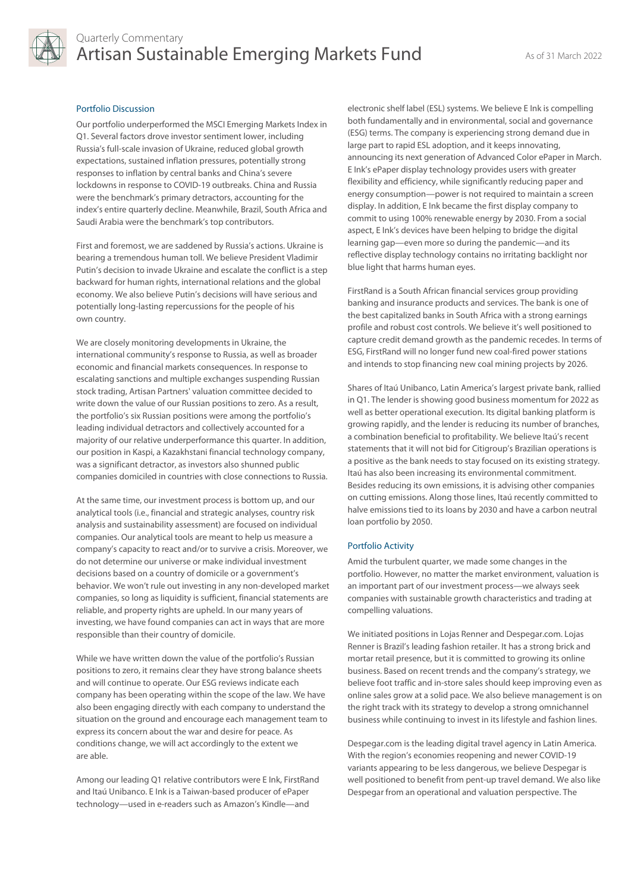

# Portfolio Discussion

Our portfolio underperformed the MSCI Emerging Markets Index in Q1. Several factors drove investor sentiment lower, including Russia's full-scale invasion of Ukraine, reduced global growth expectations, sustained inflation pressures, potentially strong responses to inflation by central banks and China's severe lockdowns in response to COVID-19 outbreaks. China and Russia were the benchmark's primary detractors, accounting for the index's entire quarterly decline. Meanwhile, Brazil, South Africa and Saudi Arabia were the benchmark's top contributors.

First and foremost, we are saddened by Russia's actions. Ukraine is bearing a tremendous human toll. We believe President Vladimir Putin's decision to invade Ukraine and escalate the conflict is a step backward for human rights, international relations and the global economy. We also believe Putin's decisions will have serious and potentially long-lasting repercussions for the people of his own country.

We are closely monitoring developments in Ukraine, the international community's response to Russia, as well as broader economic and financial markets consequences. In response to escalating sanctions and multiple exchanges suspending Russian stock trading, Artisan Partners' valuation committee decided to write down the value of our Russian positions to zero. As a result, the portfolio's six Russian positions were among the portfolio's leading individual detractors and collectively accounted for a majority of our relative underperformance this quarter. In addition, our position in Kaspi, a Kazakhstani financial technology company, was a significant detractor, as investors also shunned public companies domiciled in countries with close connections to Russia.

At the same time, our investment process is bottom up, and our analytical tools (i.e., financial and strategic analyses, country risk analysis and sustainability assessment) are focused on individual companies. Our analytical tools are meant to help us measure a company's capacity to react and/or to survive a crisis. Moreover, we do not determine our universe or make individual investment decisions based on a country of domicile or a government's behavior. We won't rule out investing in any non-developed market companies, so long as liquidity is sufficient, financial statements are reliable, and property rights are upheld. In our many years of investing, we have found companies can act in ways that are more responsible than their country of domicile.

While we have written down the value of the portfolio's Russian positions to zero, it remains clear they have strong balance sheets and will continue to operate. Our ESG reviews indicate each company has been operating within the scope of the law. We have also been engaging directly with each company to understand the situation on the ground and encourage each management team to express its concern about the war and desire for peace. As conditions change, we will act accordingly to the extent we are able.

Among our leading Q1 relative contributors were E Ink, FirstRand and Itaú Unibanco. E Ink is a Taiwan-based producer of ePaper technology—used in e-readers such as Amazon's Kindle—and

electronic shelf label (ESL) systems. We believe E Ink is compelling both fundamentally and in environmental, social and governance (ESG) terms. The company is experiencing strong demand due in large part to rapid ESL adoption, and it keeps innovating, announcing its next generation of Advanced Color ePaper in March. E Ink's ePaper display technology provides users with greater flexibility and efficiency, while significantly reducing paper and energy consumption—power is not required to maintain a screen display. In addition, E Ink became the first display company to commit to using 100% renewable energy by 2030. From a social aspect, E Ink's devices have been helping to bridge the digital learning gap—even more so during the pandemic—and its reflective display technology contains no irritating backlight nor blue light that harms human eyes.

FirstRand is a South African financial services group providing banking and insurance products and services. The bank is one of the best capitalized banks in South Africa with a strong earnings profile and robust cost controls. We believe it's well positioned to capture credit demand growth as the pandemic recedes. In terms of ESG, FirstRand will no longer fund new coal-fired power stations and intends to stop financing new coal mining projects by 2026.

Shares of Itaú Unibanco, Latin America's largest private bank, rallied in Q1. The lender is showing good business momentum for 2022 as well as better operational execution. Its digital banking platform is growing rapidly, and the lender is reducing its number of branches, a combination beneficial to profitability. We believe Itaú's recent statements that it will not bid for Citigroup's Brazilian operations is a positive as the bank needs to stay focused on its existing strategy. Itaú has also been increasing its environmental commitment. Besides reducing its own emissions, it is advising other companies on cutting emissions. Along those lines, Itaú recently committed to halve emissions tied to its loans by 2030 and have a carbon neutral loan portfolio by 2050.

## Portfolio Activity

Amid the turbulent quarter, we made some changes in the portfolio. However, no matter the market environment, valuation is an important part of our investment process—we always seek companies with sustainable growth characteristics and trading at compelling valuations.

We initiated positions in Lojas Renner and Despegar.com. Lojas Renner is Brazil's leading fashion retailer. It has a strong brick and mortar retail presence, but it is committed to growing its online business. Based on recent trends and the company's strategy, we believe foot traffic and in-store sales should keep improving even as online sales grow at a solid pace. We also believe management is on the right track with its strategy to develop a strong omnichannel business while continuing to invest in its lifestyle and fashion lines.

Despegar.com is the leading digital travel agency in Latin America. With the region's economies reopening and newer COVID-19 variants appearing to be less dangerous, we believe Despegar is well positioned to benefit from pent-up travel demand. We also like Despegar from an operational and valuation perspective. The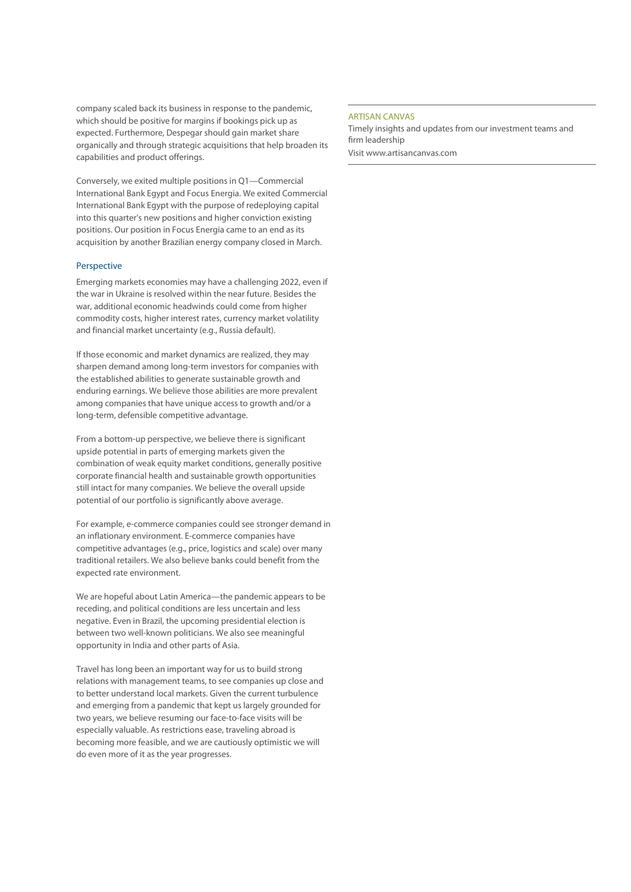company scaled back its business in response to the pandemic, which should be positive for margins if bookings pick up as expected. Furthermore, Despegar should gain market share organically and through strategic acquisitions that help broaden its capabilities and product offerings.

Conversely, we exited multiple positions in Q1—Commercial International Bank Egypt and Focus Energia. We exited Commercial International Bank Egypt with the purpose of redeploying capital into this quarter's new positions and higher conviction existing positions. Our position in Focus Energia came to an end as its acquisition by another Brazilian energy company closed in March.

#### Perspective

Emerging markets economies may have a challenging 2022, even if the war in Ukraine is resolved within the near future. Besides the war, additional economic headwinds could come from higher commodity costs, higher interest rates, currency market volatility and financial market uncertainty (e.g., Russia default).

If those economic and market dynamics are realized, they may sharpen demand among long-term investors for companies with the established abilities to generate sustainable growth and enduring earnings. We believe those abilities are more prevalent among companies that have unique access to growth and/or a long-term, defensible competitive advantage.

From a bottom-up perspective, we believe there is significant upside potential in parts of emerging markets given the combination of weak equity market conditions, generally positive corporate financial health and sustainable growth opportunities still intact for many companies. We believe the overall upside potential of our portfolio is significantly above average.

For example, e-commerce companies could see stronger demand in an inflationary environment. E-commerce companies have competitive advantages (e.g., price, logistics and scale) over many traditional retailers. We also believe banks could benefit from the expected rate environment.

We are hopeful about Latin America—the pandemic appears to be receding, and political conditions are less uncertain and less negative. Even in Brazil, the upcoming presidential election is between two well-known politicians. We also see meaningful opportunity in India and other parts of Asia.

Travel has long been an important way for us to build strong relations with management teams, to see companies up close and to better understand local markets. Given the current turbulence and emerging from a pandemic that kept us largely grounded for two years, we believe resuming our face-to-face visits will be especially valuable. As restrictions ease, traveling abroad is becoming more feasible, and we are cautiously optimistic we will do even more of it as the year progresses.

#### ARTISAN CANVAS

Timely insights and updates from our investment teams and firm leadership Visit www.artisancanvas.com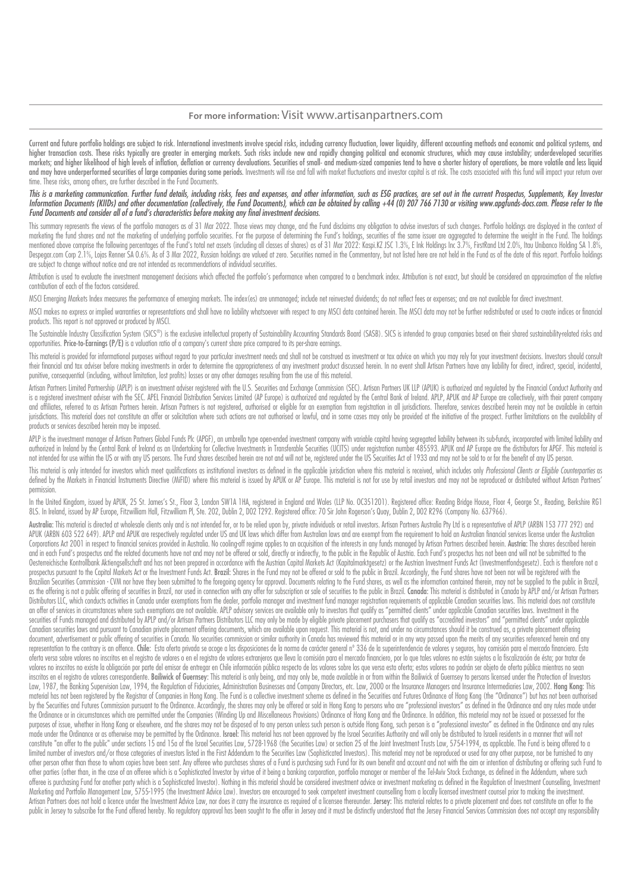## **For more information:** Visit www.artisanpartners.com

Current and future portfolio holdinas are subject to risk. International investments involve special risks, includina currency fluctuation, lower liquidity, different accounting methods and economic and political systems, higher transaction costs. These risks typically are greater in emerging markets. Such risks include new and rapidly changing political and economic structures, which may cause instability; underdeveloped securities markets; and higher likelihood of high levels of inflation, deflation or currency devaluations. Securities of small- and medium-sized companies tend to have a shorter history of operations, be more volatile and less liquid and may have underperformed securities of large companies during some periods. Investments will rise and fall with market fluctuations and investor capital is at risk. The costs associated with this fund will impact your r time. These risks, among others, are further described in the Fund Documents.

#### This is a marketing communication. Further fund details, including risks, fees and expenses, and other information, such as ESG practices, are set out in the current Prospectus, Supplements, Key Investor Information Documents (KIIDs) and other documentation (collectively, the Fund Documents), which can be obtained by calling +44 (0) 207 766 7130 or visiting www.apgfunds-docs.com. Please refer to the Fund Documents and consider all of a fund's characteristics before making any final investment decisions.

This summary represents the views of the portfolio managers as of 31 Mar 2022. Those views may change, and the Fund disclaims any obligation to advise investors of such changes. Portfolio holdings are displayed in the cont marketing the fund shares and not the marketing of underlying portfolio securities. For the purpose of defermining the Fund's holdings, securities of the same issuer are aggregated to determine the weight in the Fund. The mentioned above comprise the following percentages of the Fund's total net assets (including all classes of shares) as of 31 Mar 2022: Kaspi.KZ JSC 1.3%, E Ink Holdings Inc 3.7%, FirstRand Ltd 2.0%, Itau Unibanco Holding S Despegar.com Corp 2.1%, Loias Renner SA 0.6%. As of 3 Mar 2022, Russian holdings are volued at zero. Securities named in the Commentary, but not listed here are not held in the Fund as of the date of this report. Portfolio are subject to change without notice and are not intended as recommendations of individual securities.

Attribution is used to evaluate the investment management decisions which affected the portfolio's performance when compared to a benchmark index. Attribution is not exact, but should be considered an approximation of the contribution of each of the factors considered.

MSCI Emerging Markets Index measures the performance of emerging markets. The index(es) are unmanaged; include net reinvested dividends; do not reflect fees or expenses; and are not available for direct investment.

MSCI makes no express or implied warranties or representations and shall have no liability whatsoever with respect to any MSCI data contained herein. The MSCI data may not be further redistributed or used to create indices products. This report is not approved or produced by MSCI.

The Sustainable Industry Classification System (SICS®) is the exclusive intellectual property of Sustainability Accounting Standards Board (SASB). SICS is intended to group companies based on their shared sustainability-re opportunities. Price-to-Earnings (P/E) is a valuation ratio of a company's current share price compared to its per-share earnings.

This material is provided for informational purposes without regard to your particular investment needs and shall not be construed as investment or tax advice on which you may rely for your investment decisions. Investors their financial and tax adviser before making investments in order to determine the appropriateness of any investment product discussed herein. In no event shall Artisan Partners have any liability for direct, indirect, sp punitive, consequential (including, without limitation, lost profits) losses or any other damages resulting from the use of this material.

Artisan Partners Limited Partnership (APLP) is an investment adviser registered with the U.S. Securities and Exchange Commission (SEC). Artisan Partners UK LLP (APUK) is authorized and regulated by the Financial Conduct Au is a registered investment adviser with the SEC. APEL Financial Distribution Services Limited (AP Europe) is authorized and regulated by the Central Bank of Ireland. APLP, APUK and AP Europe are collectively, with their pa and affiliates, referred to as Artisan Partners herein. Artisan Partners is not registered, authorised or eligible for an exemption from registration in all jurisdictions. Therefore, services described herein may not be av jurisdictions. This material does not constitute an offer or solicitation where such actions are not authorised or lawful, and in some cases may only be provided at the initiative of the prospect. Further limitations on th products or services described herein may be imposed.

APLP is the investment manager of Artisan Partners Global Funds Plc (APGF), an umbrella type open-ended investment company with variable capital having segregated liability between its sub-funds, incorporated with limited authorized in Ireland by the Central Bank of Ireland as an Undertaking for Collective Investments in Transferable Securities (UCITS) under registration number 485593. APUK and AP Europe are the distributors for APGF. This not intended for use within the US or with any US persons. The Fund shares described herein are not and will not be, registered under the US Securities Act of 1933 and may not be sold to or for the benefit of any US person

This material is only intended for investors which meet qualifications as institutional investors as defined in the applicable jurisdiction where this material is received, which includes only Professional Clients or Eliai defined by the Markets in Financial Instruments Directive (MiFID) where this material is issued by APUK or AP Europe. This material is not for use by retail investors and may not be reproduced or distributed without Artisa permission.

In the United Kingdom, issued by APUK, 25 St. James's St., Floor 3, London SW1A 1HA, registered in England and Wales (LLP No. OC351201). Registered office: Reading Bridge House, Floor 4, George St., Reading, Berkshire RG1 8LS. In Ireland, issued by AP Europe, Fitzwilliam Hall, Fitzwilliam Pl, Ste. 202, Dublin 2, D02 T292. Registered office: 70 Sir John Rogerson's Quay, Dublin 2, DO2 R296 (Company No. 637966).

Australia: This material is directed at wholesale clients only and is not intended for, or to be relied upon by, private individuals or retail investors. Artisan Partners Australia Pty Ltd is a representative of APLP (ARBN APUK (ARBN 603 522 649). APLP and APUK are respectively regulated under US and UK laws which differ from Australian laws and are exempt from the requirement to hold an Australian financial services license under the Austra Corporations Act 2001 in respect to financial services provided in Australia. No cooling-off regime applies to an acquisition of the interests in any funds managed by Artisan Partners described herein. Austria: The shares and in each Fund's prospectus and the related documents have not and may not be offered or sold, directly or indirectly, to the public in the Republic of Austria. Each Fund's prospectus has not been and will not be submitt Oesterreichische Kontrollbank Aktiengsellschaft and has not been prepared in accordance with the Austrian Capital Markets Act (Kapitalmarktaesetz) or the Austrian Investment Funds Act (Investmentfondsgesetz). Each is there prospectus pursuant to the Capital Markets Act or the Investment Funds Act. Brazil: Shares in the Fund may not be offered or sold to the public in Brazil. Accordinaly, the Fund shares have not been nor will be registered w Brazilian Securities Commission - CVM nor have they been submitted to the foregoing agency for approval. Documents relating to the Fund shares, as well as the information contained therein, may not be supplied to the publi as the offering is not a public offering of securities in Brazil, nor used in connection with any offer for subscription or sale of securities to the public in Brazil. Canada: This material is distributed in Canada by APLP Distributors LLC, which conducts activities in Canada under exemptions from the dealer, portfolio manager and investment fund manager registration requirements of applicable Canadian securities laws. This material does not an offer of services in circumstances where such exemptions are not available. APLP advisory services are available only to investors that qualify as "permitted clients" under applicable Canadian securities laws. Investmen securities of Funds managed and distributed by APLP and/or Artisan Partners Distributors LLC may only be made by eligible private placement purchasers that qualify as "accredited investors" and "permitted clients" under ap Canadian securities laws and pursuant to Canadian private placement offering documents, which are available upon request. This material is not, and under no circumstances should it be construed as, a private placement offe document, advertisement or public offering of securities in Canada. No securities commission or similar authority in Canada has reviewed this material or in any way passed upon the merits of any securities referenced herei representation to the contrary is an offence. Chile: Esta oferta privada se acone a las disposiciones de la norma de carácter general n° 336 de la superintendencia de valores y seguros, hoy comisión para el mercado financi oferta versa sobre valores no inscritos en el registro de valores o en el registro de valores extranieros que lleva la comisión para el mercado financiero, por lo que tales valores no están sujetos a la fiscalización de és valores no inscritos no existe la obligación por parte del emisor de entregar en Chile información pública respecto de los valores sobre los que versa esta oferta; estos valores no podrán ser obieto de oferta pública mient inscritos en el registro de valores correspondiente. Bailiwick of Guernsey: This material is only being, and may only be, made available in or from within the Bailiwick of Guernsey to persons licensed under the Protection Law, 1987, the Banking Supervision Law, 1994, the Regulation of Fiduciaries, Administration Businesses and Company Directors, etc. Law, 2000 or the Insurance Managers and Insurance Intermediaries Law, 2002. Hong Kong: This material has not been registered by the Registrar of Companies in Hong Kong. The Fund is a collective investment scheme as defined in the Securities and Futures Ordinance of Hong Kong (the "Ordinance") but has not been aut by the Securities and Futures Commission pursuant to the Ordinance. Accordinaly, the shares may only be offered or sold in Hona Kona to persons who are "professional investors" as defined in the Ordinance and any rules mad the Ordinance or in circumstances which are permitted under the Companies (Winding Up and Miscellaneous Provisions) Ordinance of Hong Kong and the Ordinance. In addition, this material may not be issued or possessed for th purposes of issue, whether in Hong Kong or elsewhere, and the shares may not be disposed of to any person unless such person is outside Hong Kong, such person is a "professional investor" as defined in the Ordinance and an made under the Ordinance or as otherwise may be permitted by the Ordinance. Israel: This material has not been approved by the Israel Securities Authority and will only be distributed to Israeli residents in a manner that constitute "an offer to the public" under sections 15 and 15g of the Israel Securities Law, 5728-1968 (the Securities Law) or section 25 of the Joint Investment Trusts Law, 5754-1994, as applicable. The Fund is being offer limited number of investors and/or those categories of investors listed in the First Addendum to the Securities Law (Sophisticated Investors). This material may not be reproduced or used for any other purpose, nor be furni other person other than those to whom copies have been sent. Any offeree who purchases shares of a Fund is purchasing such Fund for its own benefit and account and not with the aim or intention of distributing or offering other parties (other than, in the case of an offeree which is a Sophisticated Investor by virtue of it being a banking corporation, portfolio manager or member of the Tel-Aviv Stock Exchange, as defined in the Addendum, wh offeree is purchasing Fund for another party which is a Sophisticated Investor). Nothing in this material should be considered investment advice or investment marketing as defined in the Regulation of Investment Counsellin Marketing and Portfolio Management Law, 5755-1995 (the Investment Advice Law). Investors are encouraged to seek competent investment counselling from a locally licensed investment counsel prior to making the investment. Artisan Partners does not hold a licence under the Investment Advice Law, nor does it carry the insurance as required of a licensee thereunder. Jersey: This material relates to a private placement and does not constitute a public in Jersey to subscribe for the Fund offered hereby. No requlatory approval has been sought to the offer in Jersey and it must be distinctly understood that the Jersey Financial Services Commission does not accept an